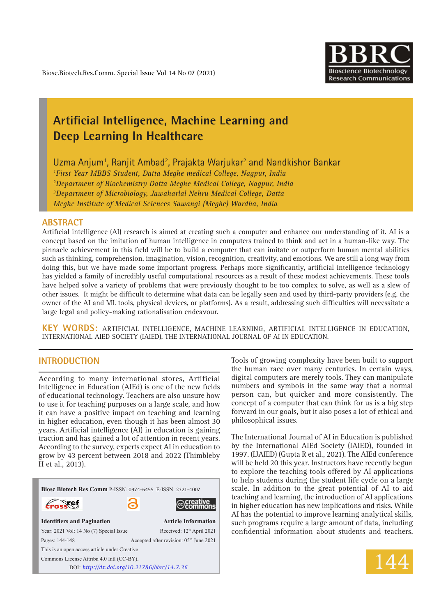

# **Artificial Intelligence, Machine Learning and Deep Learning In Healthcare**

Uzma Anjum<sup>1</sup>, Ranjit Ambad<sup>2</sup>, Prajakta Warjukar<sup>2</sup> and Nandkishor Bankar

 *First Year MBBS Student, Datta Meghe medical College, Nagpur, India Department of Biochemistry Datta Meghe Medical College, Nagpur, India Department of Microbiology, Jawaharlal Nehru Medical College, Datta Meghe Institute of Medical Sciences Sawangi (Meghe) Wardha, India*

### **ABSTRACT**

Artificial intelligence (AI) research is aimed at creating such a computer and enhance our understanding of it. AI is a concept based on the imitation of human intelligence in computers trained to think and act in a human-like way. The pinnacle achievement in this field will be to build a computer that can imitate or outperform human mental abilities such as thinking, comprehension, imagination, vision, recognition, creativity, and emotions. We are still a long way from doing this, but we have made some important progress. Perhaps more significantly, artificial intelligence technology has yielded a family of incredibly useful computational resources as a result of these modest achievements. These tools have helped solve a variety of problems that were previously thought to be too complex to solve, as well as a slew of other issues. It might be difficult to determine what data can be legally seen and used by third-party providers (e.g. the owner of the AI and ML tools, physical devices, or platforms). As a result, addressing such difficulties will necessitate a large legal and policy-making rationalisation endeavour.

**KEY WORDS:** Artificial Intelligence, Machine Learning, Artificial Intelligence in Education, International AIEd Society (IAIED), the International Journal of AI in Education.

# **INTRODUCTION**

According to many international stores, Artificial Intelligence in Education (AIEd) is one of the new fields of educational technology. Teachers are also unsure how to use it for teaching purposes on a large scale, and how it can have a positive impact on teaching and learning in higher education, even though it has been almost 30 years. Artificial intelligence (AI) in education is gaining traction and has gained a lot of attention in recent years. According to the survey, experts expect AI in education to grow by 43 percent between 2018 and 2022 (Thimbleby H et al., 2013).



Tools of growing complexity have been built to support the human race over many centuries. In certain ways, digital computers are merely tools. They can manipulate numbers and symbols in the same way that a normal person can, but quicker and more consistently. The concept of a computer that can think for us is a big step forward in our goals, but it also poses a lot of ethical and philosophical issues.

The International Journal of AI in Education is published by the International AIEd Society (IAIED), founded in 1997. (IJAIED) (Gupta R et al., 2021). The AIEd conference will be held 20 this year. Instructors have recently begun to explore the teaching tools offered by AI applications to help students during the student life cycle on a large scale. In addition to the great potential of AI to aid teaching and learning, the introduction of AI applications in higher education has new implications and risks. While AI has the potential to improve learning analytical skills, such programs require a large amount of data, including confidential information about students and teachers,

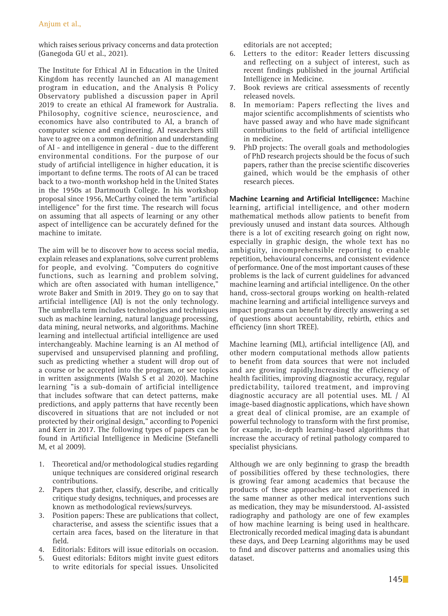which raises serious privacy concerns and data protection (Ganegoda GU et al., 2021).

The Institute for Ethical AI in Education in the United Kingdom has recently launched an AI management program in education, and the Analysis & Policy Observatory published a discussion paper in April 2019 to create an ethical AI framework for Australia. Philosophy, cognitive science, neuroscience, and economics have also contributed to AI, a branch of computer science and engineering. AI researchers still have to agree on a common definition and understanding of AI - and intelligence in general - due to the different environmental conditions. For the purpose of our study of artificial intelligence in higher education, it is important to define terms. The roots of AI can be traced back to a two-month workshop held in the United States in the 1950s at Dartmouth College. In his workshop proposal since 1956, McCarthy coined the term "artificial intelligence" for the first time. The research will focus on assuming that all aspects of learning or any other aspect of intelligence can be accurately defined for the machine to imitate.

The aim will be to discover how to access social media, explain releases and explanations, solve current problems for people, and evolving. "Computers do cognitive functions, such as learning and problem solving, which are often associated with human intelligence," wrote Baker and Smith in 2019. They go on to say that artificial intelligence (AI) is not the only technology. The umbrella term includes technologies and techniques such as machine learning, natural language processing, data mining, neural networks, and algorithms. Machine learning and intellectual artificial intelligence are used interchangeably. Machine learning is an AI method of supervised and unsupervised planning and profiling, such as predicting whether a student will drop out of a course or be accepted into the program, or see topics in written assignments (Walsh S et al 2020). Machine learning "is a sub-domain of artificial intelligence that includes software that can detect patterns, make predictions, and apply patterns that have recently been discovered in situations that are not included or not protected by their original design," according to Popenici and Kerr in 2017. The following types of papers can be found in Artificial Intelligence in Medicine (Stefanelli M, et al 2009).

- 1. Theoretical and/or methodological studies regarding unique techniques are considered original research contributions.
- 2. Papers that gather, classify, describe, and critically critique study designs, techniques, and processes are known as methodological reviews/surveys.
- 3. Position papers: These are publications that collect, characterise, and assess the scientific issues that a certain area faces, based on the literature in that field.
- 4. Editorials: Editors will issue editorials on occasion.
- 5. Guest editorials: Editors might invite guest editors to write editorials for special issues. Unsolicited

editorials are not accepted;

- 6. Letters to the editor: Reader letters discussing and reflecting on a subject of interest, such as recent findings published in the journal Artificial Intelligence in Medicine.
- 7. Book reviews are critical assessments of recently released novels.
- 8. In memoriam: Papers reflecting the lives and major scientific accomplishments of scientists who have passed away and who have made significant contributions to the field of artificial intelligence in medicine.
- 9. PhD projects: The overall goals and methodologies of PhD research projects should be the focus of such papers, rather than the precise scientific discoveries gained, which would be the emphasis of other research pieces.

**Machine Learning and Artificial Intelligence:** Machine learning, artificial intelligence, and other modern mathematical methods allow patients to benefit from previously unused and instant data sources. Although there is a lot of exciting research going on right now, especially in graphic design, the whole text has no ambiguity, incomprehensible reporting to enable repetition, behavioural concerns, and consistent evidence of performance. One of the most important causes of these problems is the lack of current guidelines for advanced machine learning and artificial intelligence. On the other hand, cross-sectoral groups working on health-related machine learning and artificial intelligence surveys and impact programs can benefit by directly answering a set of questions about accountability, rebirth, ethics and efficiency (inn short TREE).

Machine learning (ML), artificial intelligence (AI), and other modern computational methods allow patients to benefit from data sources that were not included and are growing rapidly.Increasing the efficiency of health facilities, improving diagnostic accuracy, regular predictability, tailored treatment, and improving diagnostic accuracy are all potential uses. ML / AI image-based diagnostic applications, which have shown a great deal of clinical promise, are an example of powerful technology to transform with the first promise, for example, in-depth learning-based algorithms that increase the accuracy of retinal pathology compared to specialist physicians.

Although we are only beginning to grasp the breadth of possibilities offered by these technologies, there is growing fear among academics that because the products of these approaches are not experienced in the same manner as other medical interventions such as medication, they may be misunderstood. AI-assisted radiography and pathology are one of few examples of how machine learning is being used in healthcare. Electronically recorded medical imaging data is abundant these days, and Deep Learning algorithms may be used to find and discover patterns and anomalies using this dataset.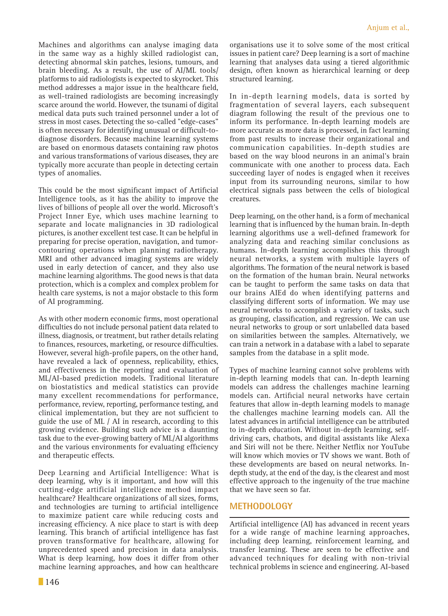Machines and algorithms can analyse imaging data in the same way as a highly skilled radiologist can, detecting abnormal skin patches, lesions, tumours, and brain bleeding. As a result, the use of AI/ML tools/ platforms to aid radiologists is expected to skyrocket. This method addresses a major issue in the healthcare field, as well-trained radiologists are becoming increasingly scarce around the world. However, the tsunami of digital medical data puts such trained personnel under a lot of stress in most cases. Detecting the so-called "edge-cases" is often necessary for identifying unusual or difficult-todiagnose disorders. Because machine learning systems are based on enormous datasets containing raw photos and various transformations of various diseases, they are typically more accurate than people in detecting certain types of anomalies.

This could be the most significant impact of Artificial Intelligence tools, as it has the ability to improve the lives of billions of people all over the world. Microsoft's Project Inner Eye, which uses machine learning to separate and locate malignancies in 3D radiological pictures, is another excellent test case. It can be helpful in preparing for precise operation, navigation, and tumorcontouring operations when planning radiotherapy. MRI and other advanced imaging systems are widely used in early detection of cancer, and they also use machine learning algorithms. The good news is that data protection, which is a complex and complex problem for health care systems, is not a major obstacle to this form of AI programming.

As with other modern economic firms, most operational difficulties do not include personal patient data related to illness, diagnosis, or treatment, but rather details relating to finances, resources, marketing, or resource difficulties. However, several high-profile papers, on the other hand, have revealed a lack of openness, replicability, ethics, and effectiveness in the reporting and evaluation of ML/AI-based prediction models. Traditional literature on biostatistics and medical statistics can provide many excellent recommendations for performance, performance, review, reporting, performance testing, and clinical implementation, but they are not sufficient to guide the use of ML / AI in research, according to this growing evidence. Building such advice is a daunting task due to the ever-growing battery of ML/AI algorithms and the various environments for evaluating efficiency and therapeutic effects.

Deep Learning and Artificial Intelligence: What is deep learning, why is it important, and how will this cutting-edge artificial intelligence method impact healthcare? Healthcare organizations of all sizes, forms, and technologies are turning to artificial intelligence to maximize patient care while reducing costs and increasing efficiency. A nice place to start is with deep learning. This branch of artificial intelligence has fast proven transformative for healthcare, allowing for unprecedented speed and precision in data analysis. What is deep learning, how does it differ from other machine learning approaches, and how can healthcare

organisations use it to solve some of the most critical issues in patient care? Deep learning is a sort of machine learning that analyses data using a tiered algorithmic design, often known as hierarchical learning or deep structured learning.

In in-depth learning models, data is sorted by fragmentation of several layers, each subsequent diagram following the result of the previous one to inform its performance. In-depth learning models are more accurate as more data is processed, in fact learning from past results to increase their organizational and communication capabilities. In-depth studies are based on the way blood neurons in an animal's brain communicate with one another to process data. Each succeeding layer of nodes is engaged when it receives input from its surrounding neurons, similar to how electrical signals pass between the cells of biological creatures.

Deep learning, on the other hand, is a form of mechanical learning that is influenced by the human brain. In-depth learning algorithms use a well-defined framework for analyzing data and reaching similar conclusions as humans. In-depth learning accomplishes this through neural networks, a system with multiple layers of algorithms. The formation of the neural network is based on the formation of the human brain. Neural networks can be taught to perform the same tasks on data that our brains AIEd do when identifying patterns and classifying different sorts of information. We may use neural networks to accomplish a variety of tasks, such as grouping, classification, and regression. We can use neural networks to group or sort unlabelled data based on similarities between the samples. Alternatively, we can train a network in a database with a label to separate samples from the database in a split mode.

Types of machine learning cannot solve problems with in-depth learning models that can. In-depth learning models can address the challenges machine learning models can. Artificial neural networks have certain features that allow in-depth learning models to manage the challenges machine learning models can. All the latest advances in artificial intelligence can be attributed to in-depth education. Without in-depth learning, selfdriving cars, chatbots, and digital assistants like Alexa and Siri will not be there. Neither Netflix nor YouTube will know which movies or TV shows we want. Both of these developments are based on neural networks. Indepth study, at the end of the day, is the clearest and most effective approach to the ingenuity of the true machine that we have seen so far.

## **METHODOLOGY**

Artificial intelligence (AI) has advanced in recent years for a wide range of machine learning approaches, including deep learning, reinforcement learning, and transfer learning. These are seen to be effective and advanced techniques for dealing with non-trivial technical problems in science and engineering. AI-based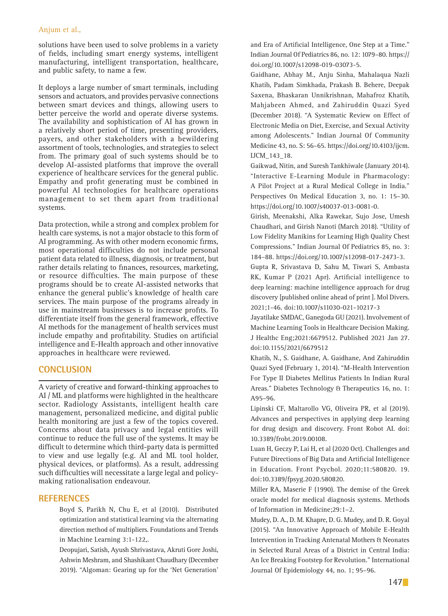#### Anjum et al.,

solutions have been used to solve problems in a variety of fields, including smart energy systems, intelligent manufacturing, intelligent transportation, healthcare, and public safety, to name a few.

It deploys a large number of smart terminals, including sensors and actuators, and provides pervasive connections between smart devices and things, allowing users to better perceive the world and operate diverse systems. The availability and sophistication of AI has grown in a relatively short period of time, presenting providers, payers, and other stakeholders with a bewildering assortment of tools, technologies, and strategies to select from. The primary goal of such systems should be to develop AI-assisted platforms that improve the overall experience of healthcare services for the general public. Empathy and profit generating must be combined in powerful AI technologies for healthcare operations management to set them apart from traditional systems.

Data protection, while a strong and complex problem for health care systems, is not a major obstacle to this form of AI programming. As with other modern economic firms, most operational difficulties do not include personal patient data related to illness, diagnosis, or treatment, but rather details relating to finances, resources, marketing, or resource difficulties. The main purpose of these programs should be to create AI-assisted networks that enhance the general public's knowledge of health care services. The main purpose of the programs already in use in mainstream businesses is to increase profits. To differentiate itself from the general framework, effective AI methods for the management of health services must include empathy and profitability. Studies on artificial intelligence and E-Health approach and other innovative approaches in healthcare were reviewed.

## **CONCLUSION**

A variety of creative and forward-thinking approaches to AI / ML and platforms were highlighted in the healthcare sector. Radiology Assistants, intelligent health care management, personalized medicine, and digital public health monitoring are just a few of the topics covered. Concerns about data privacy and legal entities will continue to reduce the full use of the systems. It may be difficult to determine which third-party data is permitted to view and use legally (e.g. AI and ML tool holder, physical devices, or platforms). As a result, addressing such difficulties will necessitate a large legal and policymaking rationalisation endeavour.

#### **References**

Boyd S, Parikh N, Chu E, et al (2010). Distributed optimization and statistical learning via the alternating direction method of multipliers. Foundations and Trends in Machine Learning 3:1-122,.

 Deopujari, Satish, Ayush Shrivastava, Akruti Gore Joshi, Ashwin Meshram, and Shashikant Chaudhary (December 2019). "Algoman: Gearing up for the 'Net Generation'

and Era of Artificial Intelligence, One Step at a Time." Indian Journal Of Pediatrics 86, no. 12: 1079–80. https:// doi.org/10.1007/s12098-019-03073-5.

 Gaidhane, Abhay M., Anju Sinha, Mahalaqua Nazli Khatib, Padam Simkhada, Prakash B. Behere, Deepak Saxena, Bhaskaran Unnikrishnan, Mahafroz Khatib, Mahjabeen Ahmed, and Zahiruddin Quazi Syed (December 2018). "A Systematic Review on Effect of Electronic Media on Diet, Exercise, and Sexual Activity among Adolescents." Indian Journal Of Community Medicine 43, no. S: 56–65. https://doi.org/10.4103/ijcm. IJCM\_143\_18.

 Gaikwad, Nitin, and Suresh Tankhiwale (January 2014). "Interactive E-Learning Module in Pharmacology: A Pilot Project at a Rural Medical College in India." Perspectives On Medical Education 3, no. 1: 15–30. https://doi.org/10.1007/s40037-013-0081-0.

 Girish, Meenakshi, Alka Rawekar, Sujo Jose, Umesh Chaudhari, and Girish Nanoti (March 2018). "Utility of Low Fidelity Manikins for Learning High Quality Chest Compressions." Indian Journal Of Pediatrics 85, no. 3: 184–88. https://doi.org/10.1007/s12098-017-2473-3.

 Gupta R, Srivastava D, Sahu M, Tiwari S, Ambasta RK, Kumar P (2021 Apr). Artificial intelligence to deep learning: machine intelligence approach for drug discovery [published online ahead of print ]. Mol Divers. 2021;1-46. doi:10.1007/s11030-021-10217-3

Jayatilake SMDAC, Ganegoda GU (2021). Involvement of Machine Learning Tools in Healthcare Decision Making. J Healthc Eng;2021:6679512. Published 2021 Jan 27. doi:10.1155/2021/6679512

Khatib, N., S. Gaidhane, A. Gaidhane, And Zahiruddin Quazi Syed (February 1, 2014). "M-Health Intervention For Type II Diabetes Mellitus Patients In Indian Rural Areas." Diabetes Technology & Therapeutics 16, no. 1: A95–96.

Lipinski CF, Maltarollo VG, Oliveira PR, et al (2019). Advances and perspectives in applying deep learning for drug design and discovery. Front Robot AI. doi: 10.3389/frobt.2019.00108.

Luan H, Geczy P, Lai H, et al (2020 Oct). Challenges and Future Directions of Big Data and Artificial Intelligence in Education. Front Psychol. 2020;11:580820. 19. doi:10.3389/fpsyg.2020.580820.

Miller RA, Maserie F (1990). The demise of the Greek oracle model for medical diagnosis systems. Methods of Information in Medicine;29:1–2.

Mudey, D. A., D. M. Khapre, D. G. Mudey, and D. R. Goyal (2015). "An Innovative Approach of Mobile E-Health Intervention in Tracking Antenatal Mothers & Neonates in Selected Rural Areas of a District in Central India: An Ice Breaking Footstep for Revolution." International Journal Of Epidemiology 44, no. 1; 95–96.